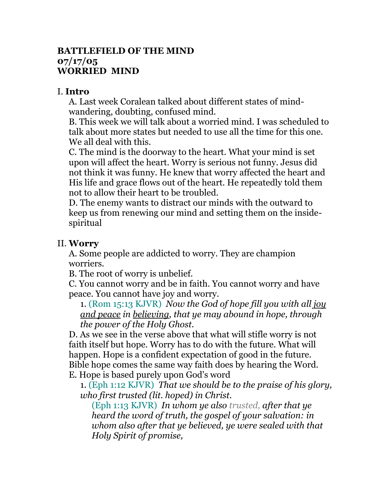## **BATTLEFIELD OF THE MIND 07/17/05 WORRIED MIND**

## I. **Intro**

A. Last week Coralean talked about different states of mindwandering, doubting, confused mind.

B. This week we will talk about a worried mind. I was scheduled to talk about more states but needed to use all the time for this one. We all deal with this.

C. The mind is the doorway to the heart. What your mind is set upon will affect the heart. Worry is serious not funny. Jesus did not think it was funny. He knew that worry affected the heart and His life and grace flows out of the heart. He repeatedly told them not to allow their heart to be troubled.

D. The enemy wants to distract our minds with the outward to keep us from renewing our mind and setting them on the insidespiritual

## II. **Worry**

A. Some people are addicted to worry. They are champion worriers.

B. The root of worry is unbelief.

C. You cannot worry and be in faith. You cannot worry and have peace. You cannot have joy and worry.

1. (Rom 15:13 KJVR) *Now the God of hope fill you with all joy and peace in believing, that ye may abound in hope, through the power of the Holy Ghost.*

D. As we see in the verse above that what will stifle worry is not faith itself but hope. Worry has to do with the future. What will happen. Hope is a confident expectation of good in the future. Bible hope comes the same way faith does by hearing the Word. E. Hope is based purely upon God's word

1. (Eph 1:12 KJVR) *That we should be to the praise of his glory, who first trusted (lit. hoped) in Christ.*

(Eph 1:13 KJVR) *In whom ye also trusted, after that ye heard the word of truth, the gospel of your salvation: in whom also after that ye believed, ye were sealed with that Holy Spirit of promise,*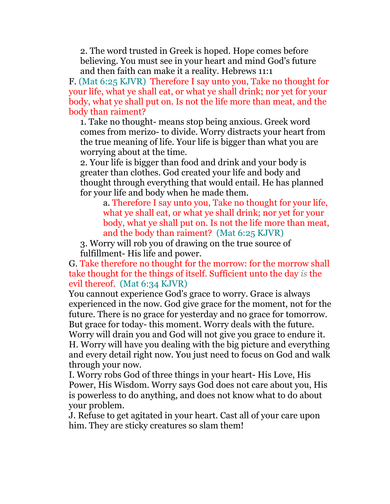2. The word trusted in Greek is hoped. Hope comes before believing. You must see in your heart and mind God's future and then faith can make it a reality. Hebrews 11:1

F. (Mat 6:25 KJVR) Therefore I say unto you, Take no thought for your life, what ye shall eat, or what ye shall drink; nor yet for your body, what ye shall put on. Is not the life more than meat, and the body than raiment?

1. Take no thought- means stop being anxious. Greek word comes from merizo- to divide. Worry distracts your heart from the true meaning of life. Your life is bigger than what you are worrying about at the time.

2. Your life is bigger than food and drink and your body is greater than clothes. God created your life and body and thought through everything that would entail. He has planned for your life and body when he made them.

a. Therefore I say unto you, Take no thought for your life, what ye shall eat, or what ye shall drink; nor yet for your body, what ye shall put on. Is not the life more than meat, and the body than raiment? (Mat 6:25 KJVR)

3. Worry will rob you of drawing on the true source of fulfillment- His life and power.

G. Take therefore no thought for the morrow: for the morrow shall take thought for the things of itself. Sufficient unto the day *is* the evil thereof. (Mat 6:34 KJVR)

You cannout experience God's grace to worry. Grace is always experienced in the now. God give grace for the moment, not for the future. There is no grace for yesterday and no grace for tomorrow. But grace for today- this moment. Worry deals with the future. Worry will drain you and God will not give you grace to endure it. H. Worry will have you dealing with the big picture and everything and every detail right now. You just need to focus on God and walk through your now.

I. Worry robs God of three things in your heart- His Love, His Power, His Wisdom. Worry says God does not care about you, His is powerless to do anything, and does not know what to do about your problem.

J. Refuse to get agitated in your heart. Cast all of your care upon him. They are sticky creatures so slam them!